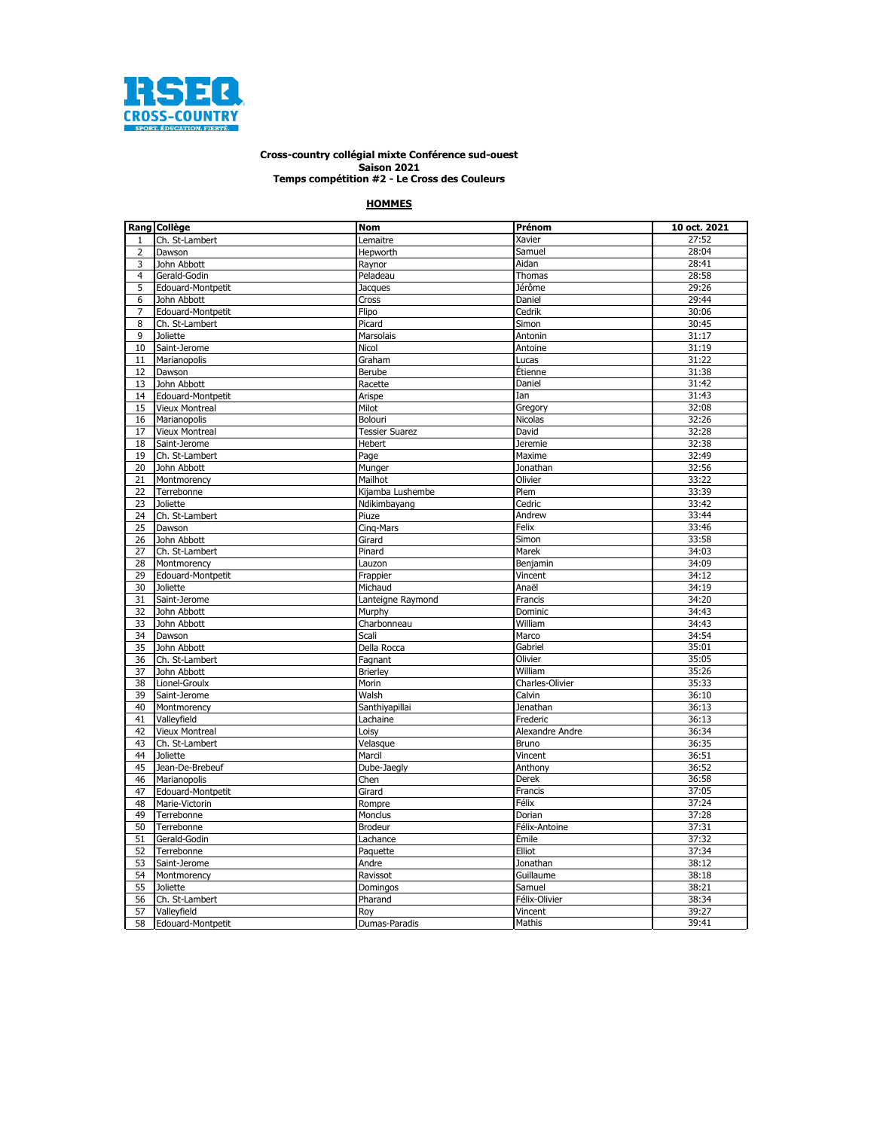

## **Saison 2021 Cross-country collégial mixte Conférence sud-ouest Temps compétition #2 - Le Cross des Couleurs**

## **HOMMES**

|                | Rang Collège          | <b>Nom</b>            | Prénom          | 10 oct. 2021 |
|----------------|-----------------------|-----------------------|-----------------|--------------|
| $\mathbf{1}$   | Ch. St-Lambert        | Lemaitre              | Xavier          | 27:52        |
| $\overline{2}$ | Dawson                | Hepworth              | Samuel          | 28:04        |
| 3              | John Abbott           | Raynor                | Aidan           | 28:41        |
| $\overline{4}$ | Gerald-Godin          | Peladeau              | Thomas          | 28:58        |
| 5              | Edouard-Montpetit     | Jacques               | Jérôme          | 29:26        |
| 6              | John Abbott           | Cross                 | Daniel          | 29:44        |
| 7              | Edouard-Montpetit     | Flipo                 | Cedrik          | 30:06        |
| 8              | Ch. St-Lambert        | Picard                | Simon           | 30:45        |
| 9              | <b>Joliette</b>       | Marsolais             | Antonin         | 31:17        |
| 10             | Saint-Jerome          | Nicol                 | Antoine         | 31:19        |
| 11             | Marianopolis          | Graham                | Lucas           | 31:22        |
| 12             | Dawson                | Berube                | Étienne         | 31:38        |
| 13             | John Abbott           | Racette               | Daniel          | 31:42        |
| 14             | Edouard-Montpetit     | Arispe                | Ian             | 31:43        |
| 15             | <b>Vieux Montreal</b> | Milot                 | Gregory         | 32:08        |
|                |                       |                       |                 |              |
| 16             | Marianopolis          | Bolouri               | Nicolas         | 32:26        |
| 17             | <b>Vieux Montreal</b> | <b>Tessier Suarez</b> | David           | 32:28        |
| 18             | Saint-Jerome          | Hebert                | <b>Jeremie</b>  | 32:38        |
| 19             | Ch. St-Lambert        | Page                  | Maxime          | 32:49        |
| 20             | John Abbott           | Munger                | Jonathan        | 32:56        |
| 21             | Montmorency           | Mailhot               | Olivier         | 33:22        |
| 22             | Terrebonne            | Kijamba Lushembe      | Plem            | 33:39        |
| 23             | <b>Joliette</b>       | Ndikimbayang          | Cedric          | 33:42        |
| 24             | Ch. St-Lambert        | Piuze                 | Andrew          | 33:44        |
| 25             | Dawson                | Cing-Mars             | Felix           | 33:46        |
| 26             | John Abbott           | Girard                | Simon           | 33:58        |
| 27             | Ch. St-Lambert        | Pinard                | Marek           | 34:03        |
| 28             | Montmorency           | Lauzon                | Benjamin        | 34:09        |
| 29             | Edouard-Montpetit     | Frappier              | Vincent         | 34:12        |
| 30             | <b>Joliette</b>       | Michaud               | Anaël           | 34:19        |
| 31             | Saint-Jerome          | Lanteigne Raymond     | Francis         | 34:20        |
| 32             | John Abbott           | Murphy                | Dominic         | 34:43        |
| 33             | John Abbott           | Charbonneau           | William         | 34:43        |
| 34             | Dawson                | Scali                 | Marco           | 34:54        |
| 35             | John Abbott           | Della Rocca           | Gabriel         | 35:01        |
| 36             | Ch. St-Lambert        | Fagnant               | Olivier         | 35:05        |
| 37             | John Abbott           | <b>Brierley</b>       | William         | 35:26        |
| 38             | Lionel-Groulx         | Morin                 | Charles-Olivier | 35:33        |
| 39             | Saint-Jerome          | Walsh                 | Calvin          | 36:10        |
| 40             | Montmorency           | Santhiyapillai        | Jenathan        | 36:13        |
| 41             | Vallevfield           | Lachaine              | Frederic        | 36:13        |
| 42             | <b>Vieux Montreal</b> | Loisy                 | Alexandre Andre | 36:34        |
| 43             | Ch. St-Lambert        | Velasque              | Bruno           | 36:35        |
| 44             | <b>Joliette</b>       | Marcil                | Vincent         | 36:51        |
| 45             | Jean-De-Brebeuf       | Dube-Jaegly           | Anthony         | 36:52        |
| 46             | Marianopolis          | Chen                  | Derek           | 36:58        |
| 47             | Edouard-Montpetit     | Girard                | Francis         | 37:05        |
| 48             | Marie-Victorin        | Rompre                | Félix           | 37:24        |
|                |                       |                       | Dorian          |              |
| 49             | Terrebonne            | Monclus               |                 | 37:28        |
| 50             | Terrebonne            | <b>Brodeur</b>        | Félix-Antoine   | 37:31        |
| 51             | Gerald-Godin          | Lachance              | Émile           | 37:32        |
| 52             | Terrebonne            | Paquette              | Elliot          | 37:34        |
| 53             | Saint-Jerome          | Andre                 | Jonathan        | 38:12        |
| 54             | Montmorency           | Ravissot              | Guillaume       | 38:18        |
| 55             | <b>Joliette</b>       | Domingos              | Samuel          | 38:21        |
| 56             | Ch. St-Lambert        | Pharand               | Félix-Olivier   | 38:34        |
| 57             | Valleyfield           | Roy                   | Vincent         | 39:27        |
| 58             | Edouard-Montpetit     | Dumas-Paradis         | Mathis          | 39:41        |